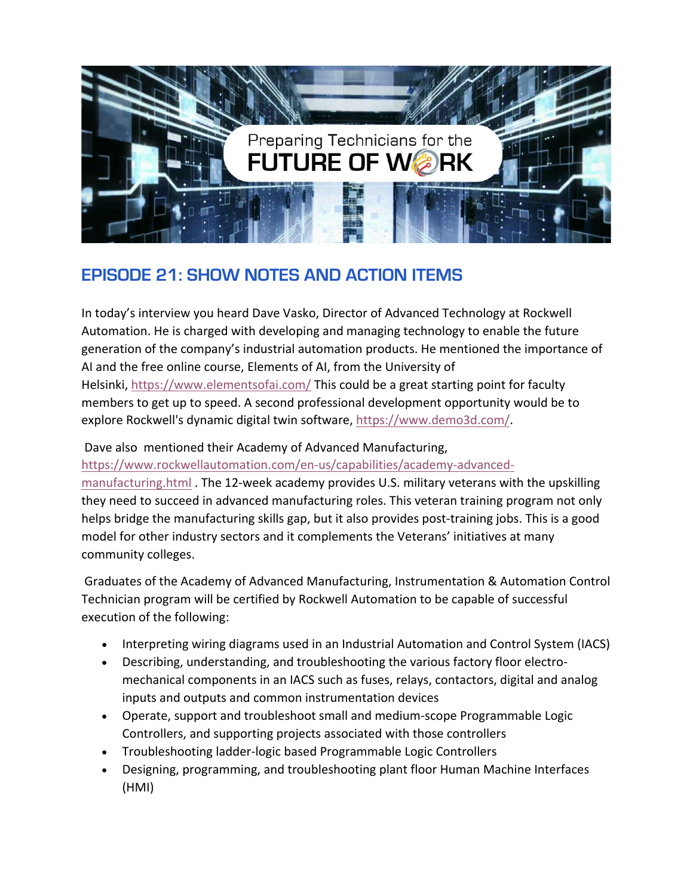

## **EPISODE 21: SHOW NOTES AND ACTION ITEMS**

In today's interview you heard Dave Vasko, Director of Advanced Technology at Rockwell Automation. He is charged with developing and managing technology to enable the future generation of the company's industrial automation products. He mentioned the importance of AI and the free online course, Elements of AI, from the University of Helsinki, <https://www.elementsofai.com/> This could be a great starting point for faculty members to get up to speed. A second professional development opportunity would be to explore Rockwell's dynamic digital twin software, [https://www.demo3d.com/.](https://www.demo3d.com/)

## Dave also mentioned their Academy of Advanced Manufacturing,

[https://www.rockwellautomation.com/en-us/capabilities/academy-advanced-](https://www.rockwellautomation.com/en-us/capabilities/academy-advanced-manufacturing.html)

[manufacturing.html](https://www.rockwellautomation.com/en-us/capabilities/academy-advanced-manufacturing.html) . The 12-week academy provides U.S. military veterans with the upskilling they need to succeed in advanced manufacturing roles. This veteran training program not only helps bridge the manufacturing skills gap, but it also provides post-training jobs. This is a good model for other industry sectors and it complements the Veterans' initiatives at many community colleges.

Graduates of the Academy of Advanced Manufacturing, Instrumentation & Automation Control Technician program will be certified by Rockwell Automation to be capable of successful execution of the following:

- Interpreting wiring diagrams used in an Industrial Automation and Control System (IACS)
- Describing, understanding, and troubleshooting the various factory floor electromechanical components in an IACS such as fuses, relays, contactors, digital and analog inputs and outputs and common instrumentation devices
- Operate, support and troubleshoot small and medium-scope Programmable Logic Controllers, and supporting projects associated with those controllers
- Troubleshooting ladder-logic based Programmable Logic Controllers
- Designing, programming, and troubleshooting plant floor Human Machine Interfaces (HMI)